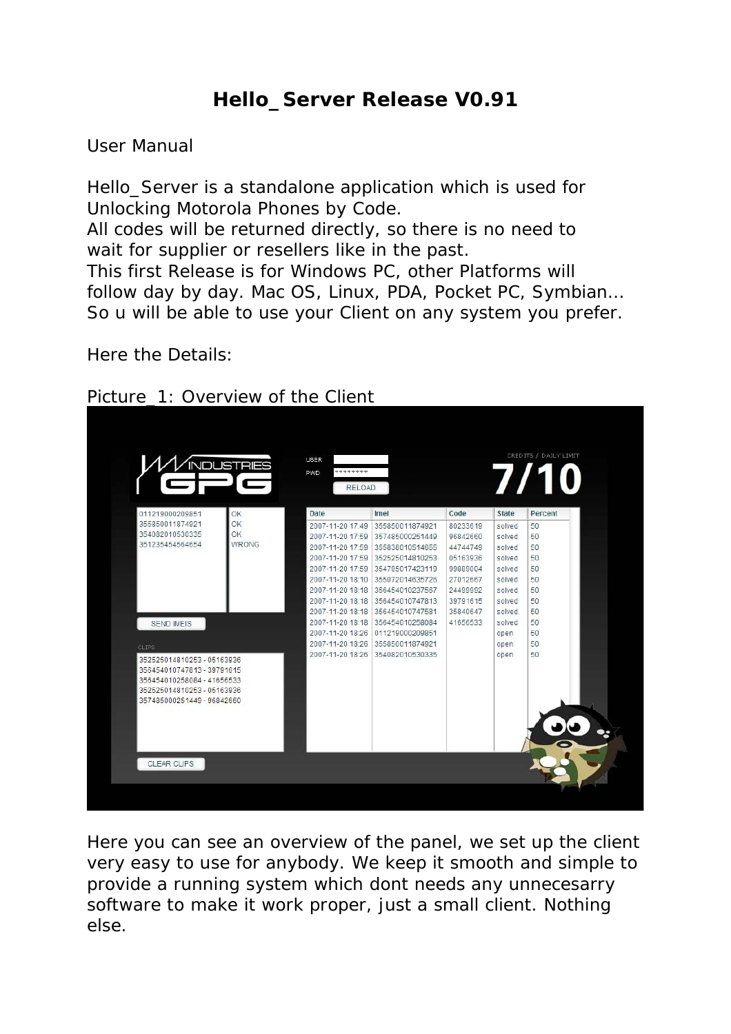## **Hello\_Server Release V0.91**

## *User Manual*

*Hello\_Server is a standalone application which is used for Unlocking Motorola Phones by Code. All codes will be returned directly, so there is no need to wait for supplier or resellers like in the past. This first Release is for Windows PC, other Platforms will follow day by day. Mac OS, Linux, PDA, Pocket PC, Symbian… So u will be able to use your Client on any system you prefer.* 

*Here the Details:* 



| 011219000209851<br>355850011874921<br>354082010530335<br>351235454564654               | OK<br>OK     | Date             | Imei                                                | Code                 | <b>State</b>     |          |
|----------------------------------------------------------------------------------------|--------------|------------------|-----------------------------------------------------|----------------------|------------------|----------|
|                                                                                        |              |                  |                                                     |                      |                  | Percent  |
|                                                                                        | <b>OK</b>    | 2007-11-20 17:59 | 2007-11-20 17:49 355850011874921<br>357485000251449 | 80233619<br>96842660 | solved<br>solved | 50<br>50 |
|                                                                                        | <b>WRONG</b> | 2007-11-20 17:59 | 355838010514655                                     | 44744749             | solved           | 50       |
|                                                                                        |              | 2007-11-20 17:59 | 352525014810253                                     | 05163936             | solved           | 50       |
|                                                                                        |              | 2007-11-20 17:59 | 354795017423119                                     | 99889004             | solved           | 50       |
|                                                                                        |              | 2007-11-20 18:10 | 355072014635726                                     | 27012667             | solved           | 50       |
|                                                                                        |              | 2007-11-20 18:18 | 356454010237567                                     | 24499992             | solved           | 50       |
|                                                                                        |              | 2007-11-20 18:18 | 356454010747813                                     | 39791615             | solved           | 50       |
|                                                                                        |              | 2007-11-20 18:18 | 356454010747581                                     | 35840647             | solved           | 50       |
| <b>SEND IMEIS</b>                                                                      |              | 2007-11-20 18:18 | 356454010258084                                     | 41656533             | solved           | 50       |
|                                                                                        |              | 2007-11-20 18:26 | 011219000209851                                     |                      | open             | 50       |
| CLIPS <sup>®</sup>                                                                     |              | 2007-11-20 18:26 | 355850011874921                                     |                      | open             | 50       |
| 352525014810253 - 05163936<br>356454010747813 - 39791615<br>356454010258084 - 41656533 |              | 2007-11-20 18:26 | 354082010530335                                     |                      | open             | 50       |
| 352525014810253 - 05163936                                                             |              |                  |                                                     |                      |                  |          |
| 357485000251449 - 96842660                                                             |              |                  |                                                     |                      |                  |          |
|                                                                                        |              |                  |                                                     |                      |                  |          |
|                                                                                        |              |                  |                                                     |                      |                  |          |
|                                                                                        |              |                  |                                                     |                      |                  |          |

Here you can see an overview of the panel, we set up the client very easy to use for anybody. We keep it smooth and simple to provide a running system which dont needs any unnecesarry software to make it work proper, just a small client. Nothing else.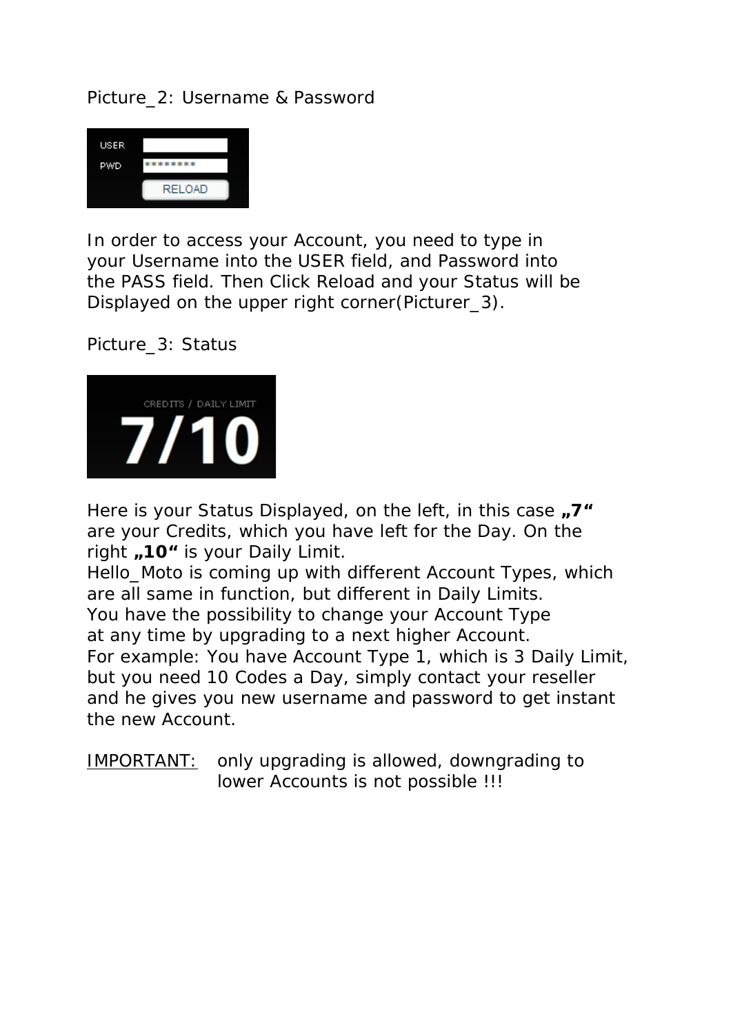Picture\_2: Username & Password



In order to access your Account, you need to type in your Username into the *USER* field, and Password into the *PASS* field. Then Click Reload and your Status will be Displayed on the upper right corner(Picturer 3).

Picture\_3: Status



Here is your Status Displayed, on the left, in this case  $\sqrt{7}$  " are your Credits, which you have left for the Day. On the right  $\sqrt{10}$  is your Daily Limit.

Hello Moto is coming up with different Account Types, which are all same in function, but different in Daily Limits. You have the possibility to change your Account Type at any time by upgrading to a next higher Account. For example: You have Account Type 1, which is 3 Daily Limit, but you need 10 Codes a Day, simply contact your reseller and he gives you new username and password to get instant the new Account.

*IMPORTANT:* only upgrading is allowed, downgrading to lower Accounts is not possible !!!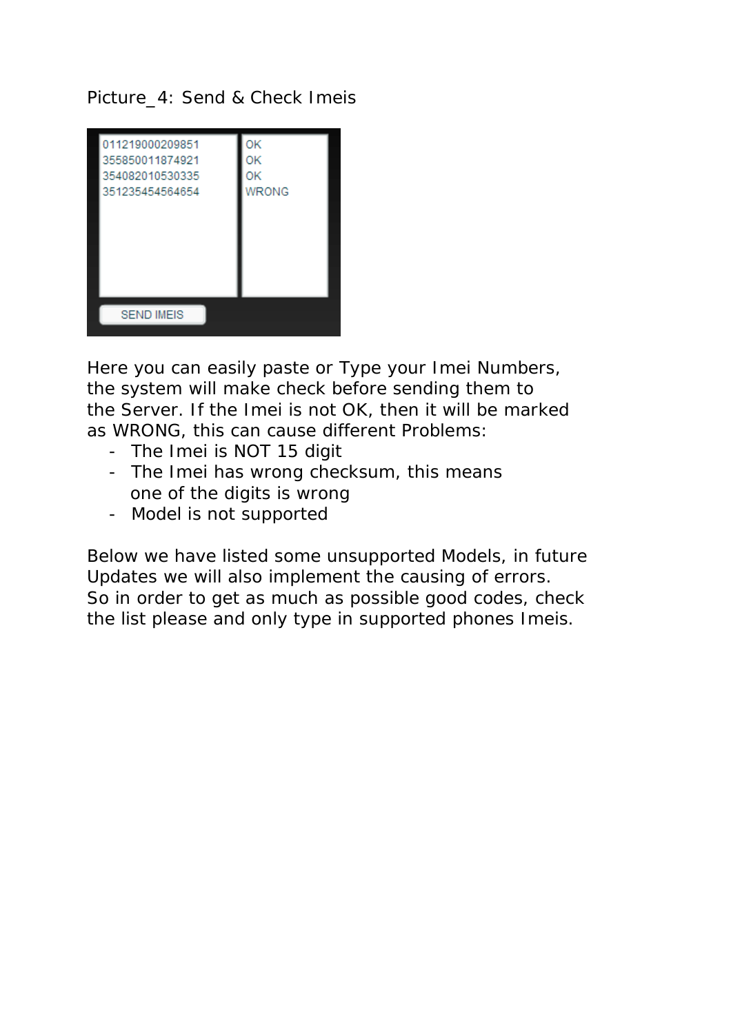Picture 4: Send & Check Imeis



Here you can easily paste or Type your Imei Numbers, the system will make check before sending them to the Server. If the Imei is not OK, then it will be marked as WRONG, this can cause different Problems:

- The Imei is NOT 15 digit
- The Imei has wrong checksum, this means one of the digits is wrong
- Model is not supported

Below we have listed some unsupported Models, in future Updates we will also implement the causing of errors. So in order to get as much as possible good codes, check the list please and only type in supported phones Imeis.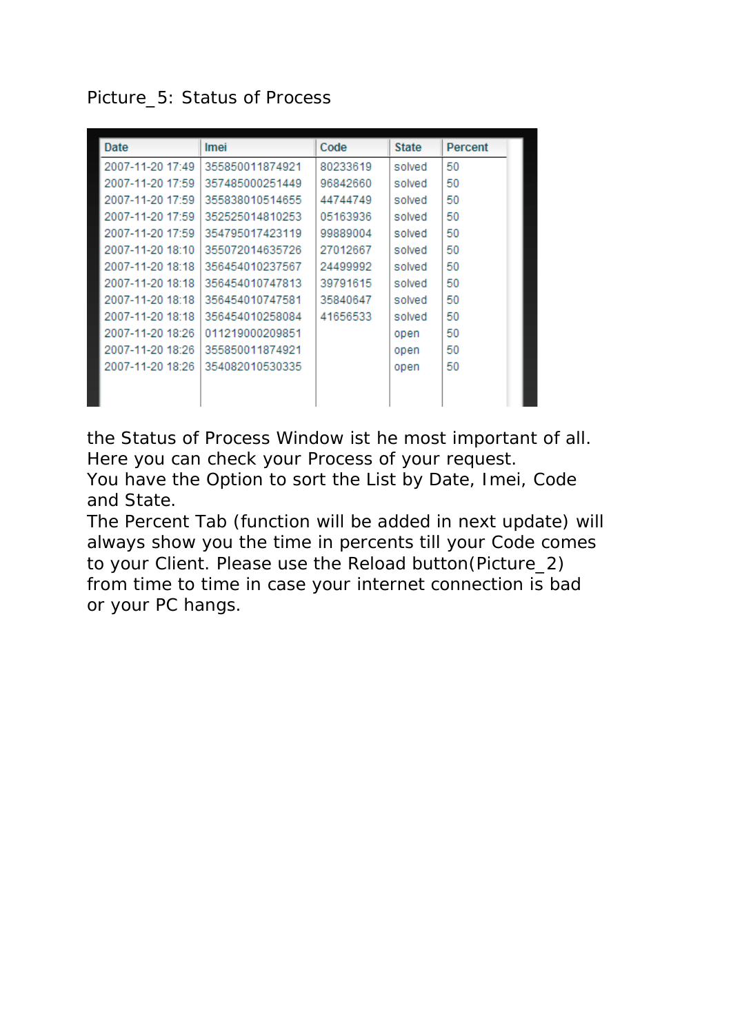Picture\_5: Status of Process

| Date             | Imei            | Code     | <b>State</b> | <b>Percent</b> |
|------------------|-----------------|----------|--------------|----------------|
| 2007-11-20 17:49 | 355850011874921 | 80233619 | solved       | 50             |
| 2007-11-20 17:59 | 357485000251449 | 96842660 | solved       | 50             |
| 2007-11-20 17:59 | 355838010514655 | 44744749 | solved       | 50             |
| 2007-11-20 17:59 | 352525014810253 | 05163936 | solved       | 50             |
| 2007-11-20 17:59 | 354795017423119 | 99889004 | solved       | 50             |
| 2007-11-20 18:10 | 355072014635726 | 27012667 | solved       | 50             |
| 2007-11-20 18:18 | 356454010237567 | 24499992 | solved       | 50             |
| 2007-11-20 18:18 | 356454010747813 | 39791615 | solved       | 50             |
| 2007-11-20 18:18 | 356454010747581 | 35840647 | solved       | 50             |
| 2007-11-20 18:18 | 356454010258084 | 41656533 | solved       | 50             |
| 2007-11-20 18:26 | 011219000209851 |          | open         | 50             |
| 2007-11-20 18:26 | 355850011874921 |          | open         | 50             |
| 2007-11-20 18:26 | 354082010530335 |          | open         | 50             |
|                  |                 |          |              |                |
|                  |                 |          |              |                |

the Status of Process Window ist he most important of all. Here you can check your Process of your request. You have the Option to sort the List by Date, Imei, Code and State.

The Percent Tab (function will be added in next update) will always show you the time in percents till your Code comes to your Client. Please use the Reload button(Picture\_2) from time to time in case your internet connection is bad or your PC hangs.